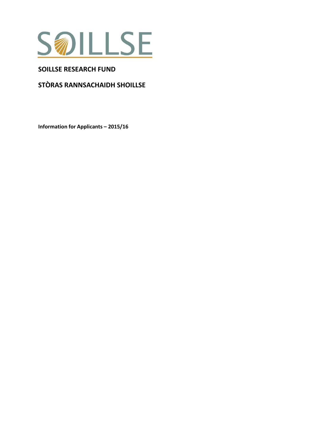

## **SOILLSE RESEARCH FUND**

# **STÒRAS RANNSACHAIDH SHOILLSE**

**Information for Applicants – 2015/16**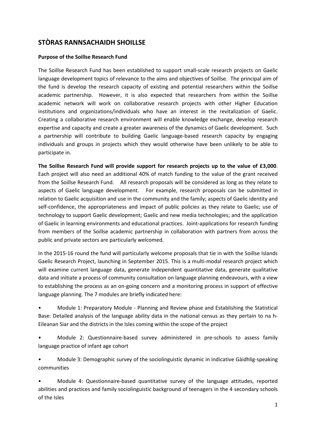## **STÒRAS RANNSACHAIDH SHOILLSE**

#### **Purpose of the Soillse Research Fund**

The Soillse Research Fund has been established to support small-scale research projects on Gaelic language development topics of relevance to the aims and objectives of Soillse. The principal aim of the fund is develop the research capacity of existing and potential researchers within the Soillse academic partnership. However, it is also expected that researchers from within the Soillse academic network will work on collaborative research projects with other Higher Education institutions and organizations/individuals who have an interest in the revitalization of Gaelic. Creating a collaborative research environment will enable knowledge exchange, develop research expertise and capacity and create a greater awareness of the dynamics of Gaelic development. Such a partnership will contribute to building Gaelic language-based research capacity by engaging individuals and groups in projects which they would otherwise have been unlikely to be able to participate in.

**The Soillse Research Fund will provide support for research projects up to the value of £3,000**. Each project will also need an additional 40% of match funding to the value of the grant received from the Soillse Research Fund. All research proposals will be considered as long as they relate to aspects of Gaelic language development. For example, research proposals can be submitted in relation to Gaelic acquisition and use in the community and the family; aspects of Gaelic identity and self-confidence, the appropriateness and impact of public policies as they relate to Gaelic; use of technology to support Gaelic development; Gaelic and new media technologies; and the application of Gaelic in learning environments and educational practices. Joint-applications for research funding from members of the Soillse academic partnership in collaboration with partners from across the public and private sectors are particularly welcomed.

In the 2015-16 round the fund will particularly welcome proposals that tie in with the Soillse Islands Gaelic Research Project, launching in September 2015. This is a multi-modal research project which will examine current language data, generate independent quantitative data, generate qualitative data and initiate a process of community consultation on language planning endeavours, with a view to establishing the process as an on-going concern and a monitoring process in support of effective language planning. The 7 modules are briefly indicated here:

• Module 1: Preparatory Module - Planning and Review phase and Establishing the Statistical Base: Detailed analysis of the language ability data in the national census as they pertain to na h-Eileanan Siar and the districts in the Isles coming within the scope of the project

• Module 2: Questionnaire-based survey administered in pre-schools to assess family language practice of infant age cohort

• Module 3: Demographic survey of the sociolinguistic dynamic in indicative Gàidhlig-speaking communities

• Module 4: Questionnaire-based quantitative survey of the language attitudes, reported abilities and practices and family sociolinguistic background of teenagers in the 4 secondary schools of the Isles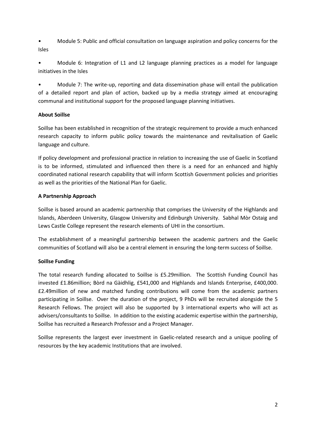• Module 5: Public and official consultation on language aspiration and policy concerns for the Isles

• Module 6: Integration of L1 and L2 language planning practices as a model for language initiatives in the Isles

• Module 7: The write-up, reporting and data dissemination phase will entail the publication of a detailed report and plan of action, backed up by a media strategy aimed at encouraging communal and institutional support for the proposed language planning initiatives.

## **About Soillse**

Soillse has been established in recognition of the strategic requirement to provide a much enhanced research capacity to inform public policy towards the maintenance and revitalisation of Gaelic language and culture.

If policy development and professional practice in relation to increasing the use of Gaelic in Scotland is to be informed, stimulated and influenced then there is a need for an enhanced and highly coordinated national research capability that will inform Scottish Government policies and priorities as well as the priorities of the National Plan for Gaelic.

## **A Partnership Approach**

Soillse is based around an academic partnership that comprises the University of the Highlands and Islands, Aberdeen University, Glasgow University and Edinburgh University. Sabhal Mòr Ostaig and Lews Castle College represent the research elements of UHI in the consortium.

The establishment of a meaningful partnership between the academic partners and the Gaelic communities of Scotland will also be a central element in ensuring the long-term success of Soillse.

## **Soillse Funding**

The total research funding allocated to Soillse is £5.29million. The Scottish Funding Council has invested £1.86million; Bòrd na Gàidhlig, £541,000 and Highlands and Islands Enterprise, £400,000. £2.49million of new and matched funding contributions will come from the academic partners participating in Soillse. Over the duration of the project, 9 PhDs will be recruited alongside the 5 Research Fellows. The project will also be supported by 3 international experts who will act as advisers/consultants to Soillse. In addition to the existing academic expertise within the partnership, Soillse has recruited a Research Professor and a Project Manager.

Soillse represents the largest ever investment in Gaelic-related research and a unique pooling of resources by the key academic Institutions that are involved.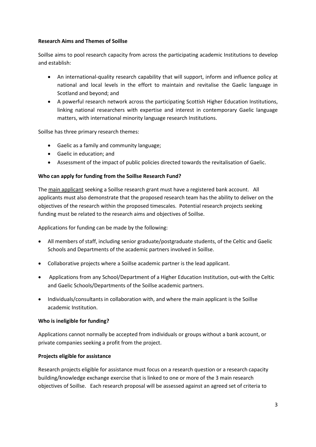## **Research Aims and Themes of Soillse**

Soillse aims to pool research capacity from across the participating academic Institutions to develop and establish:

- An international-quality research capability that will support, inform and influence policy at national and local levels in the effort to maintain and revitalise the Gaelic language in Scotland and beyond; and
- A powerful research network across the participating Scottish Higher Education Institutions, linking national researchers with expertise and interest in contemporary Gaelic language matters, with international minority language research Institutions.

Soillse has three primary research themes:

- Gaelic as a family and community language;
- Gaelic in education; and
- Assessment of the impact of public policies directed towards the revitalisation of Gaelic.

## **Who can apply for funding from the Soillse Research Fund?**

The main applicant seeking a Soillse research grant must have a registered bank account. All applicants must also demonstrate that the proposed research team has the ability to deliver on the objectives of the research within the proposed timescales. Potential research projects seeking funding must be related to the research aims and objectives of Soillse.

Applications for funding can be made by the following:

- All members of staff, including senior graduate/postgraduate students, of the Celtic and Gaelic Schools and Departments of the academic partners involved in Soillse.
- Collaborative projects where a Soillse academic partner is the lead applicant.
- Applications from any School/Department of a Higher Education Institution, out-with the Celtic and Gaelic Schools/Departments of the Soillse academic partners.
- Individuals/consultants in collaboration with, and where the main applicant is the Soillse academic Institution.

## **Who is ineligible for funding?**

Applications cannot normally be accepted from individuals or groups without a bank account, or private companies seeking a profit from the project.

#### **Projects eligible for assistance**

Research projects eligible for assistance must focus on a research question or a research capacity building/knowledge exchange exercise that is linked to one or more of the 3 main research objectives of Soillse. Each research proposal will be assessed against an agreed set of criteria to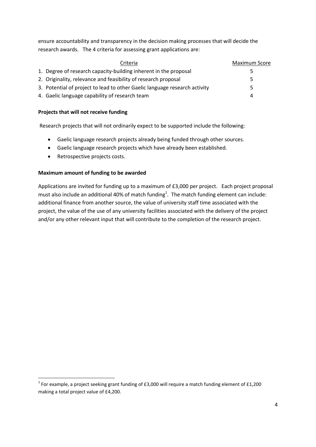ensure accountability and transparency in the decision making processes that will decide the research awards. The 4 criteria for assessing grant applications are:

| Criteria                                                                   | <b>Maximum Score</b> |
|----------------------------------------------------------------------------|----------------------|
| 1. Degree of research capacity-building inherent in the proposal           | Ь                    |
| 2. Originality, relevance and feasibility of research proposal             | 5                    |
| 3. Potential of project to lead to other Gaelic language research activity | 5                    |
| 4. Gaelic language capability of research team                             | 4                    |

## **Projects that will not receive funding**

Research projects that will not ordinarily expect to be supported include the following:

- Gaelic language research projects already being funded through other sources.
- Gaelic language research projects which have already been established.
- Retrospective projects costs.

 $\overline{a}$ 

## **Maximum amount of funding to be awarded**

Applications are invited for funding up to a maximum of £3,000 per project. Each project proposal must also include an additional 40% of match funding<sup>1</sup>. The match funding element can include: additional finance from another source, the value of university staff time associated with the project, the value of the use of any university facilities associated with the delivery of the project and/or any other relevant input that will contribute to the completion of the research project.

<sup>&</sup>lt;sup>1</sup> For example, a project seeking grant funding of £3,000 will require a match funding element of £1,200 making a total project value of £4,200.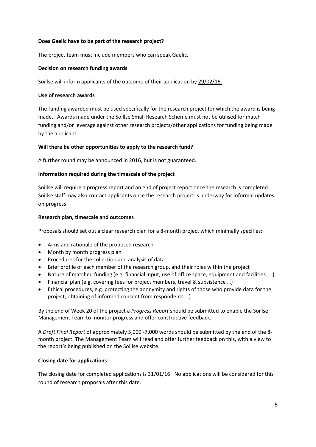## **Does Gaelic have to be part of the research project?**

The project team must include members who can speak Gaelic.

#### **Decision on research funding awards**

Soillse will inform applicants of the outcome of their application by 29/02/16.

#### **Use of research awards**

The funding awarded must be used specifically for the research project for which the award is being made. Awards made under the Soillse Small Research Scheme must not be utilised for match funding and/or leverage against other research projects/other applications for funding being made by the applicant.

## **Will there be other opportunities to apply to the research fund?**

A further round may be announced in 2016, but is not guaranteed.

## **Information required during the timescale of the project**

Soillse will require a progress report and an end of project report once the research is completed. Soillse staff may also contact applicants once the research project is underway for informal updates on progress

## **Research plan, timescale and outcomes**

Proposals should set out a clear research plan for a 8-month project which minimally specifies:

- Aims and rationale of the proposed research
- Month by month progress plan
- Procedures for the collection and analysis of data
- Brief profile of each member of the research group, and their roles within the project
- Nature of matched funding (e.g. financial input; use of office space, equipment and facilities ….)
- Financial plan (e.g. covering fees for project members, travel & subsistence …)
- Ethical procedures, e.g. protecting the anonymity and rights of those who provide data for the project; obtaining of informed consent from respondents …)

By the end of Week 20 of the project a *Progress Report* should be submitted to enable the Soillse Management Team to monitor progress and offer constructive feedback.

A *Draft Final Report* of approximately 5,000 -7,000 words should be submitted by the end of the 8 month project. The Management Team will read and offer further feedback on this, with a view to the report's being published on the Soillse website.

#### **Closing date for applications**

The closing date for completed applications is 31/01/16. No applications will be considered for this round of research proposals after this date.